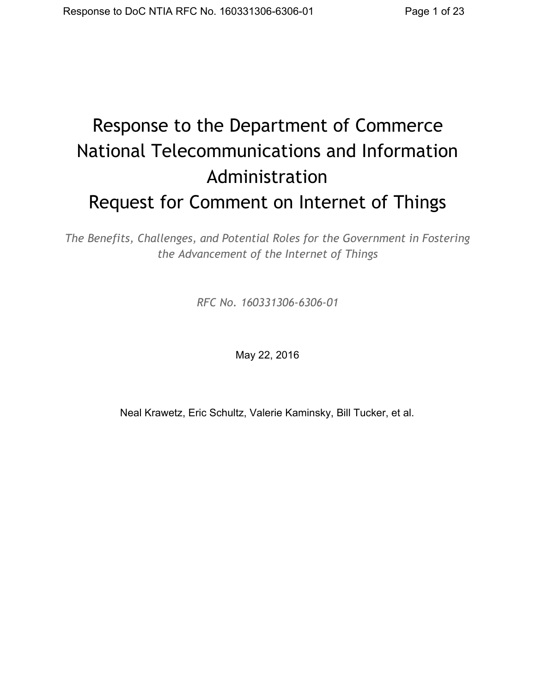# Response to the Department of Commerce National Telecommunications and Information Administration Request for Comment on Internet of Things

*The Benefits, Challenges, and Potential Roles for the Government in Fostering the Advancement of the Internet of Things*

*RFC No. 160331306‐6306‐01*

May 22, 2016

Neal Krawetz, Eric Schultz, Valerie Kaminsky, Bill Tucker, et al.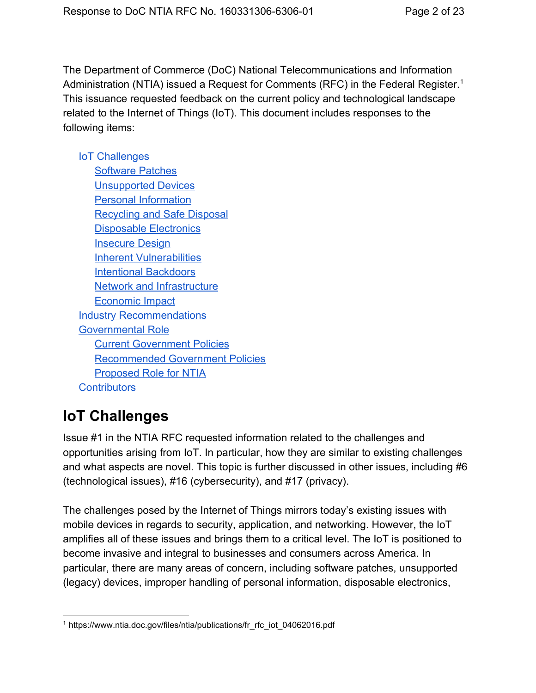The Department of Commerce (DoC) National Telecommunications and Information Administration (NTIA) issued a Request for Comments (RFC) in the Federal Register.<sup>1</sup> This issuance requested feedback on the current policy and technological landscape related to the Internet of Things (IoT). This document includes responses to the following items:

#### IoT [Challenges](#page-1-0)

[Software](#page-2-0) Patches [Unsupported](#page-4-0) Devices Personal [Information](#page-6-0) [Recycling](#page-7-0) and Safe Disposal [Disposable](#page-7-1) Electronics **[Insecure](#page-8-0) Design Inherent [Vulnerabilities](#page-11-0)** Intentional [Backdoors](#page-12-0) Network and [Infrastructure](#page-13-0) [Economic](#page-14-0) Impact Industry [Recommendations](#page-16-0) [Governmental](#page-18-0) Role Current [Government](#page-18-1) Policies [Recommended](#page-19-0) Government Policies [Proposed](#page-22-0) Role for NTIA **[Contributors](#page-22-1)** 

# <span id="page-1-0"></span>**IoT Challenges**

Issue #1 in the NTIA RFC requested information related to the challenges and opportunities arising from IoT. In particular, how they are similar to existing challenges and what aspects are novel. This topic is further discussed in other issues, including #6 (technological issues), #16 (cybersecurity), and #17 (privacy).

The challenges posed by the Internet of Things mirrors today's existing issues with mobile devices in regards to security, application, and networking. However, the IoT amplifies all of these issues and brings them to a critical level. The IoT is positioned to become invasive and integral to businesses and consumers across America. In particular, there are many areas of concern, including software patches, unsupported (legacy) devices, improper handling of personal information, disposable electronics,

<sup>1</sup> https://www.ntia.doc.gov/files/ntia/publications/fr\_rfc\_iot\_04062016.pdf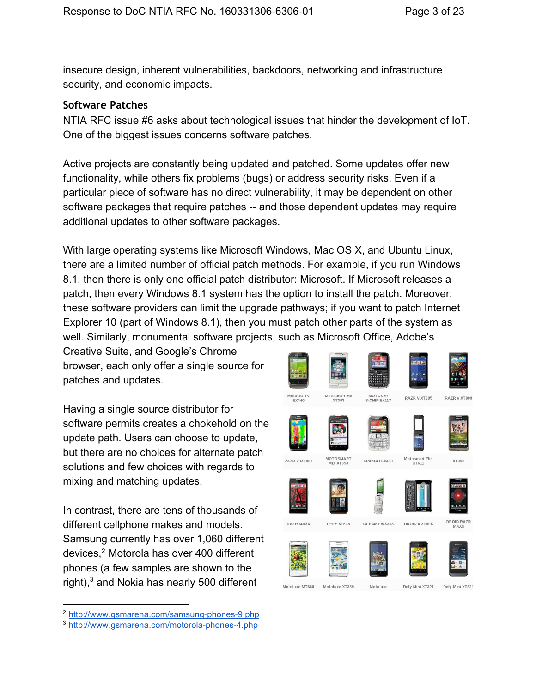insecure design, inherent vulnerabilities, backdoors, networking and infrastructure security, and economic impacts.

#### <span id="page-2-0"></span>**Software Patches**

NTIA RFC issue #6 asks about technological issues that hinder the development of IoT. One of the biggest issues concerns software patches.

Active projects are constantly being updated and patched. Some updates offer new functionality, while others fix problems (bugs) or address security risks. Even if a particular piece of software has no direct vulnerability, it may be dependent on other software packages that require patches -- and those dependent updates may require additional updates to other software packages.

With large operating systems like Microsoft Windows, Mac OS X, and Ubuntu Linux, there are a limited number of official patch methods. For example, if you run Windows 8.1, then there is only one official patch distributor: Microsoft. If Microsoft releases a patch, then every Windows 8.1 system has the option to install the patch. Moreover, these software providers can limit the upgrade pathways; if you want to patch Internet Explorer 10 (part of Windows 8.1), then you must patch other parts of the system as well. Similarly, monumental software projects, such as Microsoft Office, Adobe's

Creative Suite, and Google's Chrome browser, each only offer a single source for patches and updates.

Having a single source distributor for software permits creates a chokehold on the update path. Users can choose to update, but there are no choices for alternate patch solutions and few choices with regards to mixing and matching updates.

In contrast, there are tens of thousands of different cellphone makes and models. Samsung currently has over 1,060 different devices,<sup>2</sup> Motorola has over 400 different phones (a few samples are shown to the right), $3$  and Nokia has nearly 500 different

<sup>&</sup>lt;sup>3</sup> http://www.gsmarena.com/motorola-phones-4.php



<sup>&</sup>lt;sup>2</sup> http://www.gsmarena.com/samsung-phones-9.php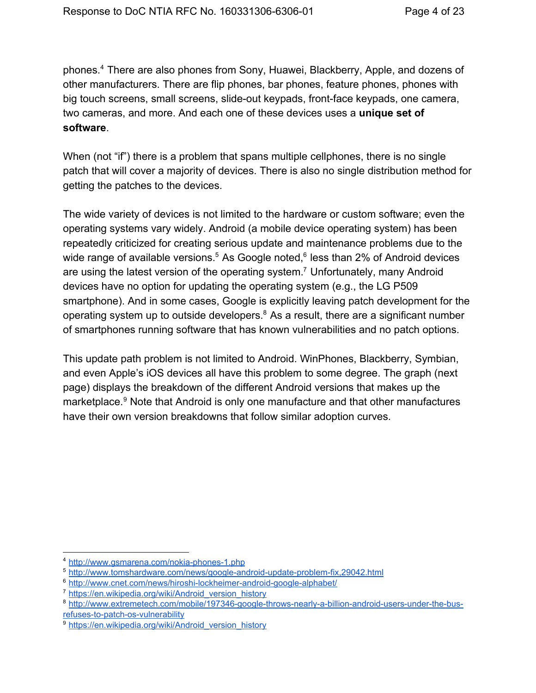phones.<sup>4</sup> There are also phones from Sony, Huawei, Blackberry, Apple, and dozens of other manufacturers. There are flip phones, bar phones, feature phones, phones with big touch screens, small screens, slide-out keypads, front-face keypads, one camera, two cameras, and more. And each one of these devices uses a **unique set of software**.

When (not "if") there is a problem that spans multiple cellphones, there is no single patch that will cover a majority of devices. There is also no single distribution method for getting the patches to the devices.

The wide variety of devices is not limited to the hardware or custom software; even the operating systems vary widely. Android (a mobile device operating system) has been repeatedly criticized for creating serious update and maintenance problems due to the wide range of available versions.<sup>5</sup> As Google noted,<sup>6</sup> less than 2% of Android devices are using the latest version of the operating system.<sup>7</sup> Unfortunately, many Android devices have no option for updating the operating system (e.g., the LG P509 smartphone). And in some cases, Google is explicitly leaving patch development for the operating system up to outside developers. $8$  As a result, there are a significant number of smartphones running software that has known vulnerabilities and no patch options.

This update path problem is not limited to Android. WinPhones, Blackberry, Symbian, and even Apple's iOS devices all have this problem to some degree. The graph (next page) displays the breakdown of the different Android versions that makes up the marketplace.<sup>9</sup> Note that Android is only one manufacture and that other manufactures have their own version breakdowns that follow similar adoption curves.

<sup>&</sup>lt;sup>4</sup> http://www.gsmarena.com/nokia-phones-1.php

<sup>5</sup> http://www.tomshardware.com/news/google-android-update-problem-fix,29042.html

 $6$  http://www.cnet.com/news/hiroshi-lockheimer-android-google-alphabet/

<sup>&</sup>lt;sup>7</sup> [https://en.wikipedia.org/wiki/Android\\_version\\_history](https://en.wikipedia.org/wiki/Android_version_history)

<sup>8</sup> http://www.extremetech.com/mobile/197346-google-throws-nearly-a-billion-android-users-under-the-busrefuses-to-patch-os-vulnerability

<sup>&</sup>lt;sup>9</sup> [https://en.wikipedia.org/wiki/Android\\_version\\_history](https://en.wikipedia.org/wiki/Android_version_history)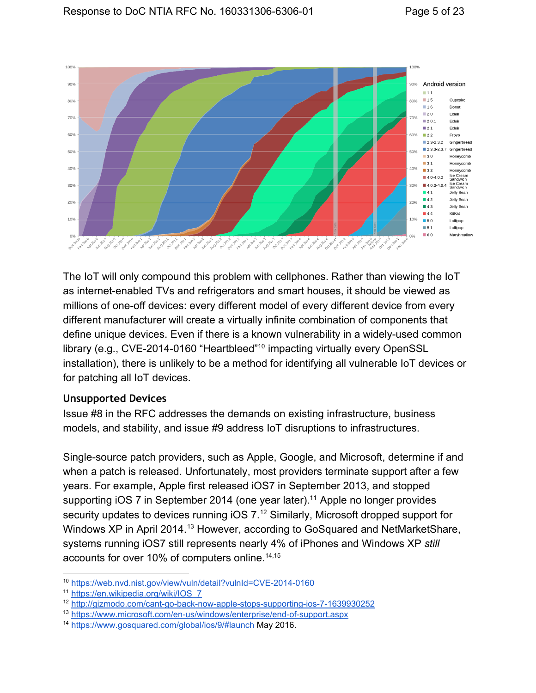

The IoT will only compound this problem with cellphones. Rather than viewing the IoT as internet-enabled TVs and refrigerators and smart houses, it should be viewed as millions of one-off devices: every different model of every different device from every different manufacturer will create a virtually infinite combination of components that define unique devices. Even if there is a known vulnerability in a widely-used common library (e.g., CVE-2014-0160 "Heartbleed"<sup>10</sup> impacting virtually every OpenSSL installation), there is unlikely to be a method for identifying all vulnerable IoT devices or for patching all IoT devices.

#### <span id="page-4-0"></span>**Unsupported Devices**

Issue #8 in the RFC addresses the demands on existing infrastructure, business models, and stability, and issue #9 address IoT disruptions to infrastructures.

Single-source patch providers, such as Apple, Google, and Microsoft, determine if and when a patch is released. Unfortunately, most providers terminate support after a few years. For example, Apple first released iOS7 in September 2013, and stopped supporting iOS  $7$  in September 2014 (one year later).<sup>11</sup> Apple no longer provides security updates to devices running  $iOS$   $7.^{12}$  Similarly, Microsoft dropped support for Windows XP in April 2014.<sup>13</sup> However, according to GoSquared and NetMarketShare, systems running iOS7 still represents nearly 4% of iPhones and Windows XP *still* accounts for over 10% of computers online. 14,15

<sup>&</sup>lt;sup>10</sup> https://web.nvd.nist.gov/view/vuln/detail?vulnId=CVE-2014-0160

<sup>11</sup> [https://en.wikipedia.org/wiki/IOS\\_7](https://en.wikipedia.org/wiki/IOS_7)

<sup>&</sup>lt;sup>12</sup> http://gizmodo.com/cant-go-back-now-apple-stops-supporting-ios-7-1639930252

<sup>&</sup>lt;sup>13</sup> https://www.microsoft.com/en-us/windows/enterprise/end-of-support.aspx

<sup>14</sup> <https://www.gosquared.com/global/ios/9/#launch> May 2016.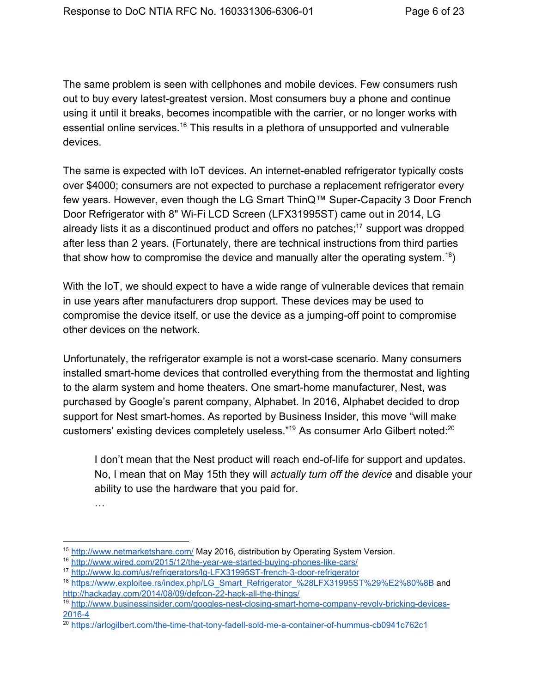The same problem is seen with cellphones and mobile devices. Few consumers rush out to buy every latest-greatest version. Most consumers buy a phone and continue using it until it breaks, becomes incompatible with the carrier, or no longer works with essential online services.<sup>16</sup> This results in a plethora of unsupported and vulnerable devices.

The same is expected with IoT devices. An internet-enabled refrigerator typically costs over \$4000; consumers are not expected to purchase a replacement refrigerator every few years. However, even though the LG Smart ThinQ™ Super-Capacity 3 Door French Door Refrigerator with 8" Wi-Fi LCD Screen (LFX31995ST) came out in 2014, LG already lists it as a discontinued product and offers no patches; $17$  support was dropped after less than 2 years. (Fortunately, there are technical instructions from third parties that show how to compromise the device and manually alter the operating system.<sup>18</sup>)

With the IoT, we should expect to have a wide range of vulnerable devices that remain in use years after manufacturers drop support. These devices may be used to compromise the device itself, or use the device as a jumping-off point to compromise other devices on the network.

Unfortunately, the refrigerator example is not a worst-case scenario. Many consumers installed smart-home devices that controlled everything from the thermostat and lighting to the alarm system and home theaters. One smart-home manufacturer, Nest, was purchased by Google's parent company, Alphabet. In 2016, Alphabet decided to drop support for Nest smart-homes. As reported by Business Insider, this move "will make customers' existing devices completely useless."<sup>19</sup> As consumer Arlo Gilbert noted:<sup>20</sup>

I don't mean that the Nest product will reach end-of-life for support and updates. No, I mean that on May 15th they will *actually turn off the device* and disable your ability to use the hardware that you paid for.

…

<sup>15</sup> <http://www.netmarketshare.com/> May 2016, distribution by Operating System Version.

<sup>16</sup> http://www.wired.com/2015/12/the-year-we-started-buying-phones-like-cars/

<sup>&</sup>lt;sup>17</sup> http://www.lg.com/us/refrigerators/lg-LFX31995ST-french-3-door-refrigerator

<sup>&</sup>lt;sup>18</sup> [https://www.exploitee.rs/index.php/LG\\_Smart\\_Refrigerator\\_%28LFX31995ST%29%E2%80%8B](https://www.exploitee.rs/index.php/LG_Smart_Refrigerator_%28LFX31995ST%29%E2%80%8B) and http://hackaday.com/2014/08/09/defcon-22-hack-all-the-things/

<sup>&</sup>lt;sup>19</sup> http://www.businessinsider.com/googles-nest-closing-smart-home-company-revolv-bricking-devices-2016-4

<sup>&</sup>lt;sup>20</sup> https://arlogilbert.com/the-time-that-tony-fadell-sold-me-a-container-of-hummus-cb0941c762c1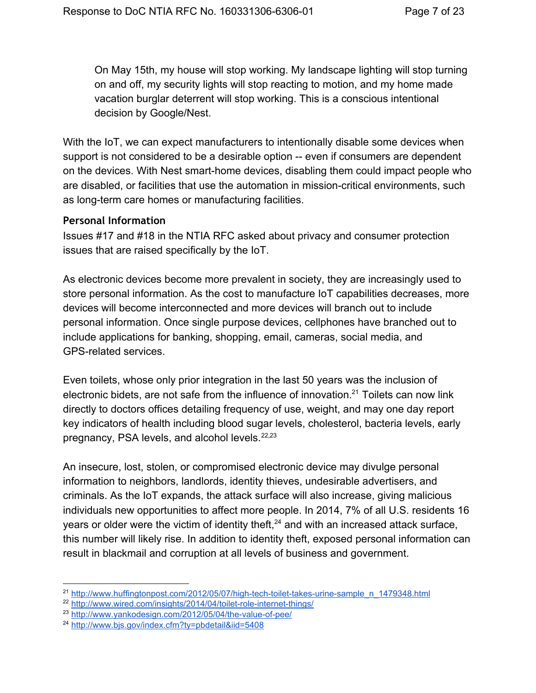On May 15th, my house will stop working. My landscape lighting will stop turning on and off, my security lights will stop reacting to motion, and my home made vacation burglar deterrent will stop working. This is a conscious intentional decision by Google/Nest.

With the IoT, we can expect manufacturers to intentionally disable some devices when support is not considered to be a desirable option -- even if consumers are dependent on the devices. With Nest smart-home devices, disabling them could impact people who are disabled, or facilities that use the automation in mission-critical environments, such as long-term care homes or manufacturing facilities.

#### <span id="page-6-0"></span>**Personal Information**

Issues #17 and #18 in the NTIA RFC asked about privacy and consumer protection issues that are raised specifically by the IoT.

As electronic devices become more prevalent in society, they are increasingly used to store personal information. As the cost to manufacture IoT capabilities decreases, more devices will become interconnected and more devices will branch out to include personal information. Once single purpose devices, cellphones have branched out to include applications for banking, shopping, email, cameras, social media, and GPS-related services.

Even toilets, whose only prior integration in the last 50 years was the inclusion of electronic bidets, are not safe from the influence of innovation. $21$  Toilets can now link directly to doctors offices detailing frequency of use, weight, and may one day report key indicators of health including blood sugar levels, cholesterol, bacteria levels, early pregnancy, PSA levels, and alcohol levels.<sup>22,23</sup>

An insecure, lost, stolen, or compromised electronic device may divulge personal information to neighbors, landlords, identity thieves, undesirable advertisers, and criminals. As the IoT expands, the attack surface will also increase, giving malicious individuals new opportunities to affect more people. In 2014, 7% of all U.S. residents 16 years or older were the victim of identity theft, $24$  and with an increased attack surface, this number will likely rise. In addition to identity theft, exposed personal information can result in blackmail and corruption at all levels of business and government.

 $^{21}$  http://www.huffingtonpost.com/2012/05/07/high-tech-toilet-takes-urine-sample\_n\_1479348.html

<sup>&</sup>lt;sup>22</sup> http://www.wired.com/insights/2014/04/toilet-role-internet-things/

 $23$  http://www.yankodesign.com/2012/05/04/the-value-of-pee/

<sup>24</sup> <http://www.bjs.gov/index.cfm?ty=pbdetail&iid=5408>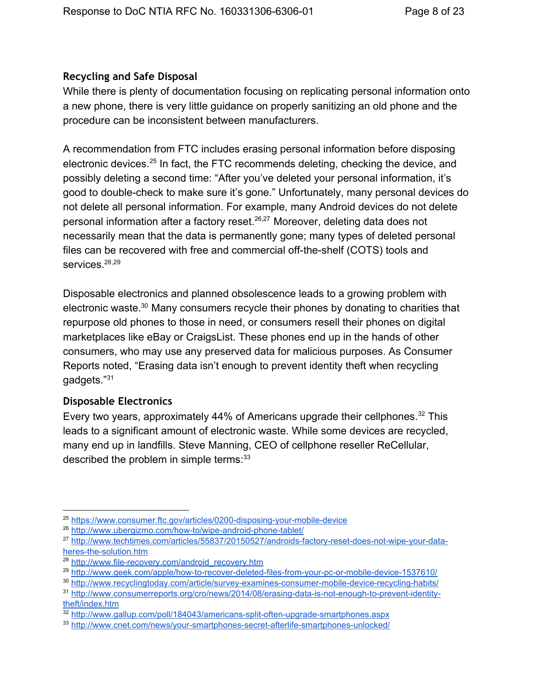#### <span id="page-7-0"></span>**Recycling and Safe Disposal**

While there is plenty of documentation focusing on replicating personal information onto a new phone, there is very little guidance on properly sanitizing an old phone and the procedure can be inconsistent between manufacturers.

A recommendation from FTC includes erasing personal information before disposing electronic devices.<sup>25</sup> In fact, the FTC recommends deleting, checking the device, and possibly deleting a second time: "After you've deleted your personal information, it's good to double-check to make sure it's gone." Unfortunately, many personal devices do not delete all personal information. For example, many Android devices do not delete personal information after a factory reset.<sup>26,27</sup> Moreover, deleting data does not necessarily mean that the data is permanently gone; many types of deleted personal files can be recovered with free and commercial off-the-shelf (COTS) tools and services. 28,29

Disposable electronics and planned obsolescence leads to a growing problem with electronic waste.<sup>30</sup> Many consumers recycle their phones by donating to charities that repurpose old phones to those in need, or consumers resell their phones on digital marketplaces like eBay or CraigsList. These phones end up in the hands of other consumers, who may use any preserved data for malicious purposes. As Consumer Reports noted, "Erasing data isn't enough to prevent identity theft when recycling gadgets." 31

#### <span id="page-7-1"></span>**Disposable Electronics**

Every two years, approximately 44% of Americans upgrade their cellphones. $32$  This leads to a significant amount of electronic waste. While some devices are recycled, many end up in landfills. Steve Manning, CEO of cellphone reseller ReCellular, described the problem in simple terms:<sup>33</sup>

<sup>&</sup>lt;sup>25</sup> https://www.consumer.ftc.gov/articles/0200-disposing-your-mobile-device

<sup>&</sup>lt;sup>26</sup> http://www.ubergizmo.com/how-to/wipe-android-phone-tablet/

<sup>&</sup>lt;sup>27</sup> http://www.techtimes.com/articles/55837/20150527/androids-factory-reset-does-not-wipe-your-dataheres-the-solution.htm

<sup>&</sup>lt;sup>28</sup> http://www.file-recovery.com/android\_recovery.htm

<sup>&</sup>lt;sup>29</sup> http://www.geek.com/apple/how-to-recover-deleted-files-from-your-pc-or-mobile-device-1537610/

<sup>30</sup> http://www.recyclingtoday.com/article/survey-examines-consumer-mobile-device-recycling-habits/

<sup>&</sup>lt;sup>31</sup> http://www.consumerreports.org/cro/news/2014/08/erasing-data-is-not-enough-to-prevent-identity[theft/index.htm](http://www.consumerreports.org/cro/news/2014/08/erasing-data-is-not-enough-to-prevent-identity-theft/index.htm)

 $32$  http://www.gallup.com/poll/184043/americans-split-often-upgrade-smartphones.aspx

<sup>33</sup> http://www.cnet.com/news/your-smartphones-secret-afterlife-smartphones-unlocked/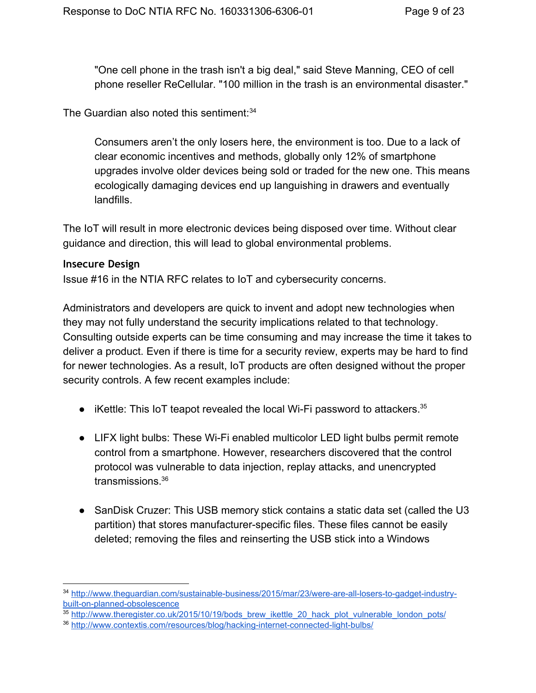"One cell phone in the trash isn't a big deal," said Steve Manning, CEO of cell phone reseller ReCellular. "100 million in the trash is an environmental disaster."

The Guardian also noted this sentiment: 34

Consumers aren't the only losers here, the environment is too. Due to a lack of clear economic incentives and methods, globally only 12% of smartphone upgrades involve older devices being sold or traded for the new one. This means ecologically damaging devices end up languishing in drawers and eventually landfills.

The IoT will result in more electronic devices being disposed over time. Without clear guidance and direction, this will lead to global environmental problems.

#### <span id="page-8-0"></span>**Insecure Design**

Issue #16 in the NTIA RFC relates to IoT and cybersecurity concerns.

Administrators and developers are quick to invent and adopt new technologies when they may not fully understand the security implications related to that technology. Consulting outside experts can be time consuming and may increase the time it takes to deliver a product. Even if there is time for a security review, experts may be hard to find for newer technologies. As a result, IoT products are often designed without the proper security controls. A few recent examples include:

- $\bullet$  iKettle: This IoT teapot revealed the local Wi-Fi password to attackers.<sup>35</sup>
- LIFX light bulbs: These Wi-Fi enabled multicolor LED light bulbs permit remote control from a smartphone. However, researchers discovered that the control protocol was vulnerable to data injection, replay attacks, and unencrypted transmissions. 36
- SanDisk Cruzer: This USB memory stick contains a static data set (called the U3 partition) that stores manufacturer-specific files. These files cannot be easily deleted; removing the files and reinserting the USB stick into a Windows

<sup>34</sup> http://www.theguardian.com/sustainable-business/2015/mar/23/were-are-all-losers-to-gadget-industrybuilt-on-planned-obsolescence

 $35$  [http://www.theregister.co.uk/2015/10/19/bods\\_brew\\_ikettle\\_20\\_hack\\_plot\\_vulnerable\\_london\\_pots/](http://www.theregister.co.uk/2015/10/19/bods_brew_ikettle_20_hack_plot_vulnerable_london_pots/)

<sup>36</sup> http://www.contextis.com/resources/blog/hacking-internet-connected-light-bulbs/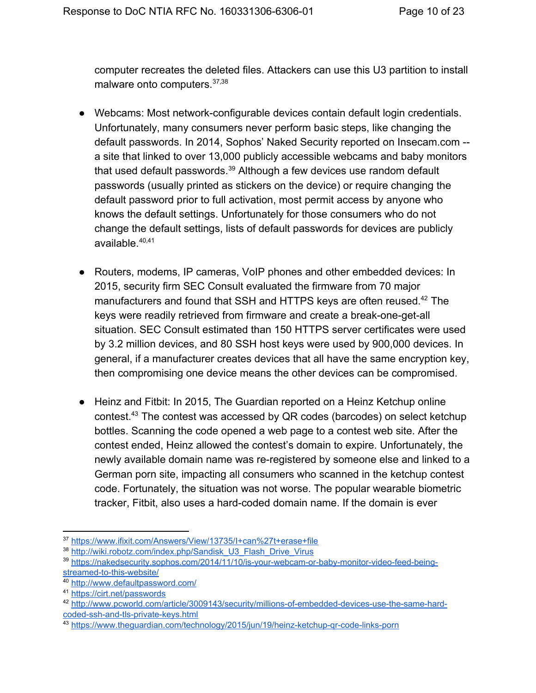computer recreates the deleted files. Attackers can use this U3 partition to install malware onto computers.<sup>37,38</sup>

- Webcams: Most network-configurable devices contain default login credentials. Unfortunately, many consumers never perform basic steps, like changing the default passwords. In 2014, Sophos' Naked Security reported on Insecam.com a site that linked to over 13,000 publicly accessible webcams and baby monitors that used default passwords. $39$  Although a few devices use random default passwords (usually printed as stickers on the device) or require changing the default password prior to full activation, most permit access by anyone who knows the default settings. Unfortunately for those consumers who do not change the default settings, lists of default passwords for devices are publicly available. 40,41
- Routers, modems, IP cameras, VoIP phones and other embedded devices: In 2015, security firm SEC Consult evaluated the firmware from 70 major manufacturers and found that SSH and HTTPS keys are often reused. $42$  The keys were readily retrieved from firmware and create a break-one-get-all situation. SEC Consult estimated than 150 HTTPS server certificates were used by 3.2 million devices, and 80 SSH host keys were used by 900,000 devices. In general, if a manufacturer creates devices that all have the same encryption key, then compromising one device means the other devices can be compromised.
- Heinz and Fitbit: In 2015, The Guardian reported on a Heinz Ketchup online contest. $43$  The contest was accessed by QR codes (barcodes) on select ketchup bottles. Scanning the code opened a web page to a contest web site. After the contest ended, Heinz allowed the contest's domain to expire. Unfortunately, the newly available domain name was re-registered by someone else and linked to a German porn site, impacting all consumers who scanned in the ketchup contest code. Fortunately, the situation was not worse. The popular wearable biometric tracker, Fitbit, also uses a hard-coded domain name. If the domain is ever

<sup>37</sup> <https://www.ifixit.com/Answers/View/13735/I+can%27t+erase+file>

<sup>38</sup> [http://wiki.robotz.com/index.php/Sandisk\\_U3\\_Flash\\_Drive\\_Virus](http://wiki.robotz.com/index.php/Sandisk_U3_Flash_Drive_Virus)

<sup>&</sup>lt;sup>39</sup> https://nakedsecurity.sophos.com/2014/11/10/is-your-webcam-or-baby-monitor-video-feed-beingstreamed-to-this-website/

<sup>40</sup> <http://www.defaultpassword.com/>

<sup>41</sup> <https://cirt.net/passwords>

<sup>42</sup> http://www.pcworld.com/article/3009143/security/millions-of-embedded-devices-use-the-same-hardcoded-ssh-and-tls-private-keys.html

<sup>43</sup> https://www.theguardian.com/technology/2015/jun/19/heinz-ketchup-gr-code-links-porn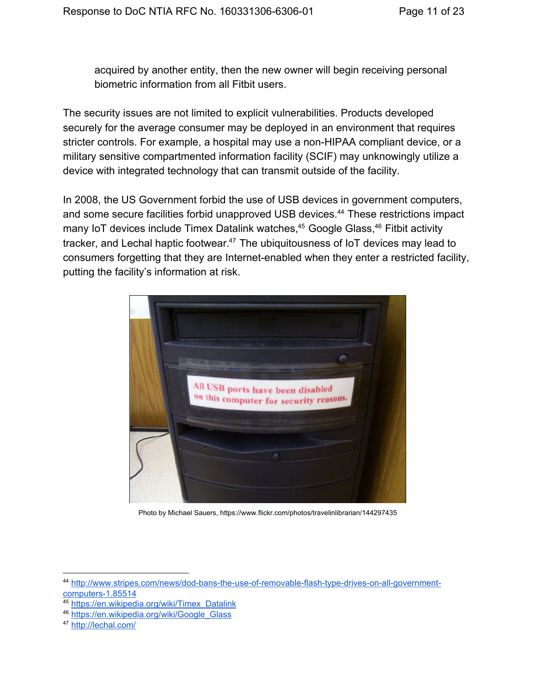acquired by another entity, then the new owner will begin receiving personal biometric information from all Fitbit users.

The security issues are not limited to explicit vulnerabilities. Products developed securely for the average consumer may be deployed in an environment that requires stricter controls. For example, a hospital may use a non-HIPAA compliant device, or a military sensitive compartmented information facility (SCIF) may unknowingly utilize a device with integrated technology that can transmit outside of the facility.

In 2008, the US Government forbid the use of USB devices in government computers, and some secure facilities forbid unapproved USB devices.<sup>44</sup> These restrictions impact many IoT devices include Timex Datalink watches,<sup>45</sup> Google Glass,<sup>46</sup> Fitbit activity tracker, and Lechal haptic footwear. $47$  The ubiquitousness of IoT devices may lead to consumers forgetting that they are Internet-enabled when they enter a restricted facility, putting the facility's information at risk.



Photo by Michael Sauers, https://www.flickr.com/photos/travelinlibrarian/144297435

<sup>&</sup>lt;sup>44</sup> http://www.stripes.com/news/dod-bans-the-use-of-removable-flash-type-drives-on-all-governmentcomputers-1.85514

<sup>45</sup> [https://en.wikipedia.org/wiki/Timex\\_Datalink](https://en.wikipedia.org/wiki/Timex_Datalink)

<sup>46</sup> [https://en.wikipedia.org/wiki/Google\\_Glass](https://en.wikipedia.org/wiki/Google_Glass)

<sup>47</sup> <http://lechal.com/>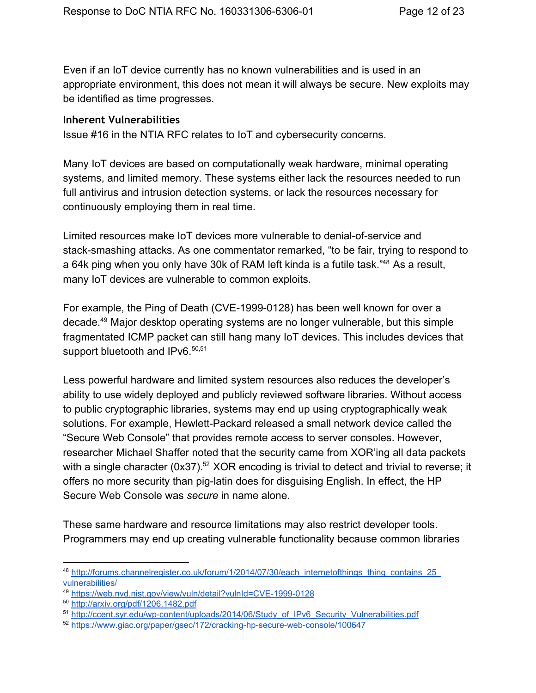Even if an IoT device currently has no known vulnerabilities and is used in an appropriate environment, this does not mean it will always be secure. New exploits may be identified as time progresses.

#### <span id="page-11-0"></span>**Inherent Vulnerabilities**

Issue #16 in the NTIA RFC relates to IoT and cybersecurity concerns.

Many IoT devices are based on computationally weak hardware, minimal operating systems, and limited memory. These systems either lack the resources needed to run full antivirus and intrusion detection systems, or lack the resources necessary for continuously employing them in real time.

Limited resources make IoT devices more vulnerable to denial-of-service and stack-smashing attacks. As one commentator remarked, "to be fair, trying to respond to a 64k ping when you only have 30k of RAM left kinda is a futile task."<sup>48</sup> As a result, many IoT devices are vulnerable to common exploits.

For example, the Ping of Death (CVE-1999-0128) has been well known for over a decade.<sup>49</sup> Major desktop operating systems are no longer vulnerable, but this simple fragmentated ICMP packet can still hang many IoT devices. This includes devices that support bluetooth and IPv6.<sup>50,51</sup>

Less powerful hardware and limited system resources also reduces the developer's ability to use widely deployed and publicly reviewed software libraries. Without access to public cryptographic libraries, systems may end up using cryptographically weak solutions. For example, Hewlett-Packard released a small network device called the "Secure Web Console" that provides remote access to server consoles. However, researcher Michael Shaffer noted that the security came from XOR'ing all data packets with a single character (0x37).<sup>52</sup> XOR encoding is trivial to detect and trivial to reverse; it offers no more security than pig-latin does for disguising English. In effect, the HP Secure Web Console was *secure* in name alone.

These same hardware and resource limitations may also restrict developer tools. Programmers may end up creating vulnerable functionality because common libraries

<sup>48</sup> [http://forums.channelregister.co.uk/forum/1/2014/07/30/each\\_internetofthings\\_thing\\_contains\\_25\\_](http://forums.channelregister.co.uk/forum/1/2014/07/30/each_internetofthings_thing_contains_25_vulnerabilities/) [vulnerabilities/](http://forums.channelregister.co.uk/forum/1/2014/07/30/each_internetofthings_thing_contains_25_vulnerabilities/)

<sup>49</sup> https://web.nvd.nist.gov/view/vuln/detail?vulnId=CVE-1999-0128

<sup>50</sup> <http://arxiv.org/pdf/1206.1482.pdf>

<sup>&</sup>lt;sup>51</sup> http://ccent.syr.edu/wp-content/uploads/2014/06/Study\_of\_IPv6\_Security\_Vulnerabilities.pdf

<sup>52</sup> https://www.giac.org/paper/gsec/172/cracking-hp-secure-web-console/100647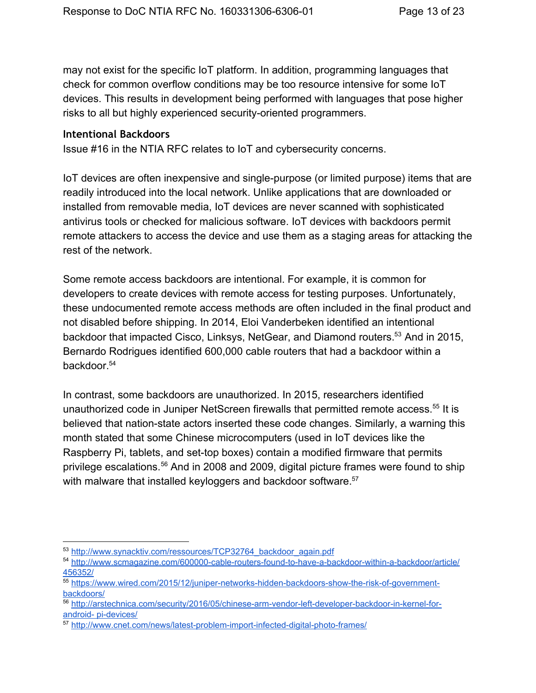may not exist for the specific IoT platform. In addition, programming languages that check for common overflow conditions may be too resource intensive for some IoT devices. This results in development being performed with languages that pose higher risks to all but highly experienced security-oriented programmers.

#### <span id="page-12-0"></span>**Intentional Backdoors**

Issue #16 in the NTIA RFC relates to IoT and cybersecurity concerns.

IoT devices are often inexpensive and single-purpose (or limited purpose) items that are readily introduced into the local network. Unlike applications that are downloaded or installed from removable media, IoT devices are never scanned with sophisticated antivirus tools or checked for malicious software. IoT devices with backdoors permit remote attackers to access the device and use them as a staging areas for attacking the rest of the network.

Some remote access backdoors are intentional. For example, it is common for developers to create devices with remote access for testing purposes. Unfortunately, these undocumented remote access methods are often included in the final product and not disabled before shipping. In 2014, Eloi Vanderbeken identified an intentional backdoor that impacted Cisco, Linksys, NetGear, and Diamond routers.<sup>53</sup> And in 2015, Bernardo Rodrigues identified 600,000 cable routers that had a backdoor within a backdoor. 54

In contrast, some backdoors are unauthorized. In 2015, researchers identified unauthorized code in Juniper NetScreen firewalls that permitted remote access.<sup>55</sup> It is believed that nation-state actors inserted these code changes. Similarly, a warning this month stated that some Chinese microcomputers (used in IoT devices like the Raspberry Pi, tablets, and set-top boxes) contain a modified firmware that permits privilege escalations.<sup>56</sup> And in 2008 and 2009, digital picture frames were found to ship with malware that installed keyloggers and backdoor software.<sup>57</sup>

<sup>53</sup> [http://www.synacktiv.com/ressources/TCP32764\\_backdoor\\_again.pdf](http://www.synacktiv.com/ressources/TCP32764_backdoor_again.pdf)

<sup>54</sup> http://www.scmagazine.com/600000-cable-routers-found-to-have-a-backdoor-within-a-backdoor/article/ [456352/](http://www.scmagazine.com/600000-cable-routers-found-to-have-a-backdoor-within-a-backdoor/article/456352/)

<sup>55</sup> https://www.wired.com/2015/12/juniper-networks-hidden-backdoors-show-the-risk-of-government[backdoors/](https://www.wired.com/2015/12/juniper-networks-hidden-backdoors-show-the-risk-of-government-backdoors/)

<sup>56</sup> http://arstechnica.com/security/2016/05/chinese-arm-vendor-left-developer-backdoor-in-kernel-forandroid- pi-devices/

<sup>57</sup> http://www.cnet.com/news/latest-problem-import-infected-digital-photo-frames/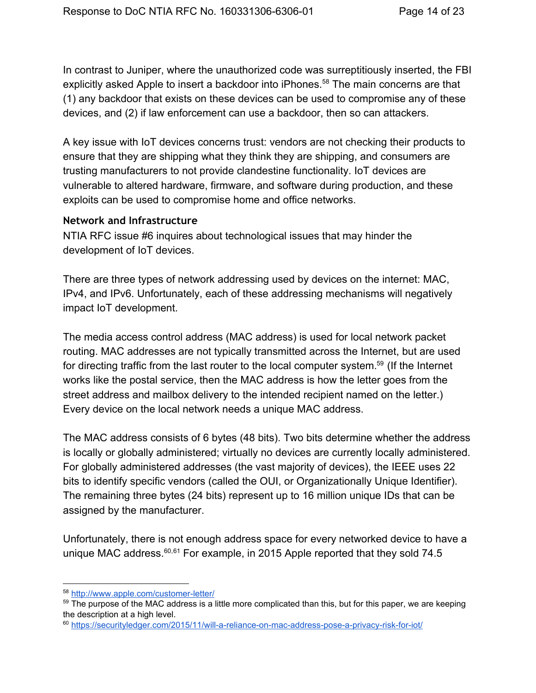In contrast to Juniper, where the unauthorized code was surreptitiously inserted, the FBI explicitly asked Apple to insert a backdoor into iPhones.<sup>58</sup> The main concerns are that (1) any backdoor that exists on these devices can be used to compromise any of these devices, and (2) if law enforcement can use a backdoor, then so can attackers.

A key issue with IoT devices concerns trust: vendors are not checking their products to ensure that they are shipping what they think they are shipping, and consumers are trusting manufacturers to not provide clandestine functionality. IoT devices are vulnerable to altered hardware, firmware, and software during production, and these exploits can be used to compromise home and office networks.

#### <span id="page-13-0"></span>**Network and Infrastructure**

NTIA RFC issue #6 inquires about technological issues that may hinder the development of IoT devices.

There are three types of network addressing used by devices on the internet: MAC, IPv4, and IPv6. Unfortunately, each of these addressing mechanisms will negatively impact IoT development.

The media access control address (MAC address) is used for local network packet routing. MAC addresses are not typically transmitted across the Internet, but are used for directing traffic from the last router to the local computer system. $59$  (If the Internet works like the postal service, then the MAC address is how the letter goes from the street address and mailbox delivery to the intended recipient named on the letter.) Every device on the local network needs a unique MAC address.

The MAC address consists of 6 bytes (48 bits). Two bits determine whether the address is locally or globally administered; virtually no devices are currently locally administered. For globally administered addresses (the vast majority of devices), the IEEE uses 22 bits to identify specific vendors (called the OUI, or Organizationally Unique Identifier). The remaining three bytes (24 bits) represent up to 16 million unique IDs that can be assigned by the manufacturer.

Unfortunately, there is not enough address space for every networked device to have a unique MAC address. $60,61$  For example, in 2015 Apple reported that they sold 74.5

<sup>58</sup> http://www.apple.com/customer-letter/

<sup>59</sup> The purpose of the MAC address is a little more complicated than this, but for this paper, we are keeping the description at a high level.

<sup>60</sup> https://securityledger.com/2015/11/will-a-reliance-on-mac-address-pose-a-privacy-risk-for-iot/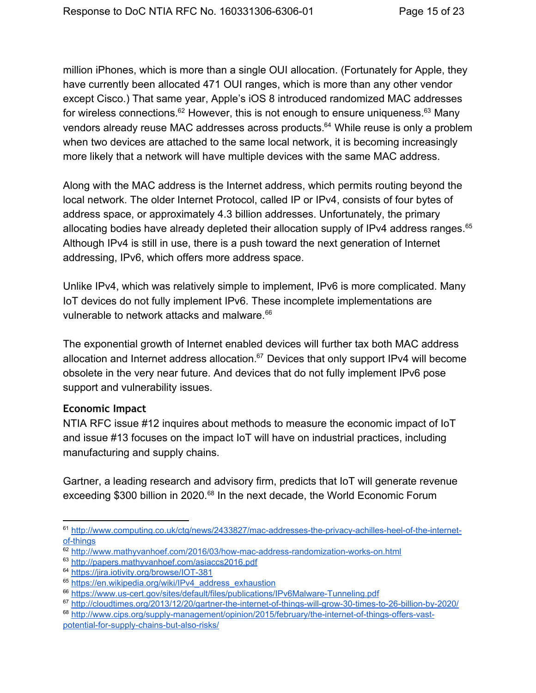million iPhones, which is more than a single OUI allocation. (Fortunately for Apple, they have currently been allocated 471 OUI ranges, which is more than any other vendor except Cisco.) That same year, Apple's iOS 8 introduced randomized MAC addresses for wireless connections. $^{62}$  However, this is not enough to ensure uniqueness. $^{63}$  Many vendors already reuse MAC addresses across products. <sup>64</sup> While reuse is only a problem when two devices are attached to the same local network, it is becoming increasingly more likely that a network will have multiple devices with the same MAC address.

Along with the MAC address is the Internet address, which permits routing beyond the local network. The older Internet Protocol, called IP or IPv4, consists of four bytes of address space, or approximately 4.3 billion addresses. Unfortunately, the primary allocating bodies have already depleted their allocation supply of IPv4 address ranges. 65 Although IPv4 is still in use, there is a push toward the next generation of Internet addressing, IPv6, which offers more address space.

Unlike IPv4, which was relatively simple to implement, IPv6 is more complicated. Many IoT devices do not fully implement IPv6. These incomplete implementations are vulnerable to network attacks and malware. 66

The exponential growth of Internet enabled devices will further tax both MAC address allocation and Internet address allocation. $67$  Devices that only support IPv4 will become obsolete in the very near future. And devices that do not fully implement IPv6 pose support and vulnerability issues.

#### <span id="page-14-0"></span>**Economic Impact**

NTIA RFC issue #12 inquires about methods to measure the economic impact of IoT and issue #13 focuses on the impact IoT will have on industrial practices, including manufacturing and supply chains.

Gartner, a leading research and advisory firm, predicts that IoT will generate revenue exceeding \$300 billion in 2020.<sup>68</sup> In the next decade, the World Economic Forum

<sup>61</sup> http://www.computing.co.uk/ctg/news/2433827/mac-addresses-the-privacy-achilles-heel-of-the-internetof-things

<sup>62</sup> http://www.mathyvanhoef.com/2016/03/how-mac-address-randomization-works-on.html

<sup>63</sup> <http://papers.mathyvanhoef.com/asiaccs2016.pdf>

<sup>&</sup>lt;sup>64</sup> https://jira.iotivity.org/browse/IOT-381

<sup>&</sup>lt;sup>65</sup> [https://en.wikipedia.org/wiki/IPv4\\_address\\_exhaustion](https://en.wikipedia.org/wiki/IPv4_address_exhaustion)

<sup>&</sup>lt;sup>66</sup> https://www.us-cert.gov/sites/default/files/publications/IPv6Malware-Tunneling.pdf

<sup>67</sup> http://cloudtimes.org/2013/12/20/gartner-the-internet-of-things-will-grow-30-times-to-26-billion-by-2020/

<sup>68</sup> http://www.cips.org/supply-management/opinion/2015/february/the-internet-of-things-offers-vastpotential-for-supply-chains-but-also-risks/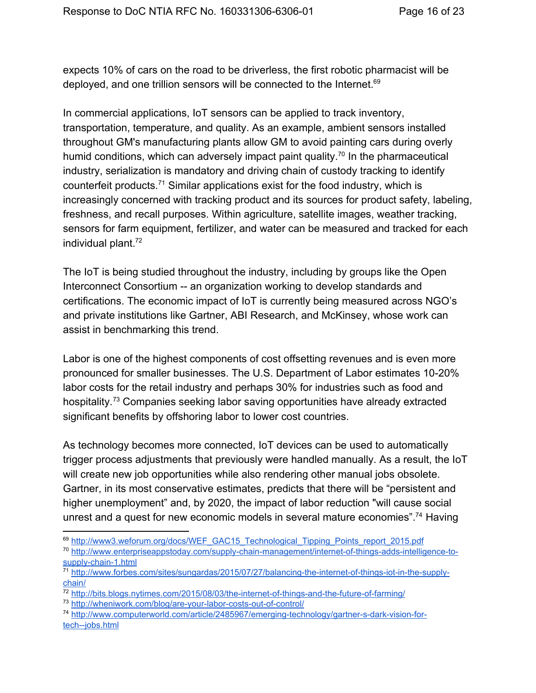expects 10% of cars on the road to be driverless, the first robotic pharmacist will be deployed, and one trillion sensors will be connected to the Internet. 69

In commercial applications, IoT sensors can be applied to track inventory, transportation, temperature, and quality. As an example, ambient sensors installed throughout GM's manufacturing plants allow GM to avoid painting cars during overly humid conditions, which can adversely impact paint quality.<sup>70</sup> In the pharmaceutical industry, serialization is mandatory and driving chain of custody tracking to identify counterfeit products.<sup>71</sup> Similar applications exist for the food industry, which is increasingly concerned with tracking product and its sources for product safety, labeling, freshness, and recall purposes. Within agriculture, satellite images, weather tracking, sensors for farm equipment, fertilizer, and water can be measured and tracked for each individual plant. 72

The IoT is being studied throughout the industry, including by groups like the Open Interconnect Consortium -- an organization working to develop standards and certifications. The economic impact of IoT is currently being measured across NGO's and private institutions like Gartner, ABI Research, and McKinsey, whose work can assist in benchmarking this trend.

Labor is one of the highest components of cost offsetting revenues and is even more pronounced for smaller businesses. The U.S. Department of Labor estimates 10-20% labor costs for the retail industry and perhaps 30% for industries such as food and hospitality.<sup>73</sup> Companies seeking labor saving opportunities have already extracted significant benefits by offshoring labor to lower cost countries.

As technology becomes more connected, IoT devices can be used to automatically trigger process adjustments that previously were handled manually. As a result, the IoT will create new job opportunities while also rendering other manual jobs obsolete. Gartner, in its most conservative estimates, predicts that there will be "persistent and higher unemployment" and, by 2020, the impact of labor reduction "will cause social unrest and a quest for new economic models in several mature economies".<sup>74</sup> Having

<sup>&</sup>lt;sup>69</sup> [http://www3.weforum.org/docs/WEF\\_GAC15\\_Technological\\_Tipping\\_Points\\_report\\_2015.pdf](http://www3.weforum.org/docs/WEF_GAC15_Technological_Tipping_Points_report_2015.pdf)

<sup>&</sup>lt;sup>70</sup> http://www.enterpriseappstoday.com/supply-chain-management/internet-of-things-adds-intelligence-tosupply-chain-1.html

<sup>&</sup>lt;sup>71</sup> http://www.forbes.com/sites/sungardas/2015/07/27/balancing-the-internet-of-things-iot-in-the-supply[chain/](http://www.forbes.com/sites/sungardas/2015/07/27/balancing-the-internet-of-things-iot-in-the-supply-chain/)

 $72$  http://bits.blogs.nytimes.com/2015/08/03/the-internet-of-things-and-the-future-of-farming/

<sup>73</sup> http://wheniwork.com/blog/are-your-labor-costs-out-of-control/

<sup>74</sup> http://www.computerworld.com/article/2485967/emerging-technology/gartner-s-dark-vision-fortech--jobs.html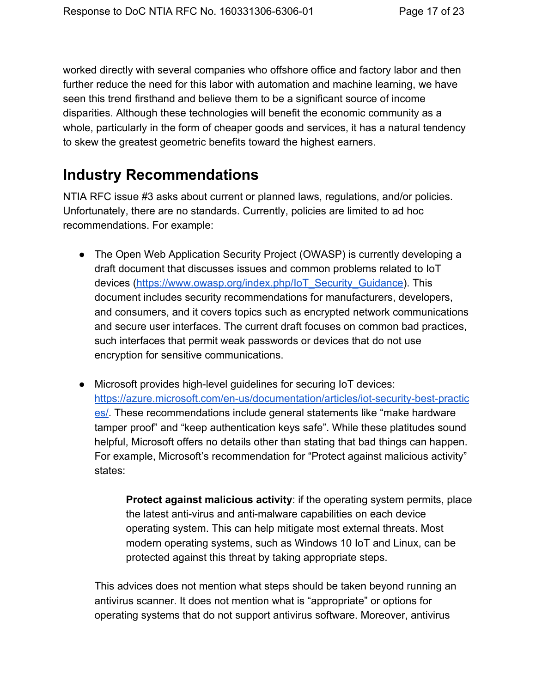worked directly with several companies who offshore office and factory labor and then further reduce the need for this labor with automation and machine learning, we have seen this trend firsthand and believe them to be a significant source of income disparities. Although these technologies will benefit the economic community as a whole, particularly in the form of cheaper goods and services, it has a natural tendency to skew the greatest geometric benefits toward the highest earners.

# <span id="page-16-0"></span>**Industry Recommendations**

NTIA RFC issue #3 asks about current or planned laws, regulations, and/or policies. Unfortunately, there are no standards. Currently, policies are limited to ad hoc recommendations. For example:

- The Open Web Application Security Project (OWASP) is currently developing a draft document that discusses issues and common problems related to IoT devices [\(https://www.owasp.org/index.php/IoT\\_Security\\_Guidance\)](https://www.owasp.org/index.php/IoT_Security_Guidance). This document includes security recommendations for manufacturers, developers, and consumers, and it covers topics such as encrypted network communications and secure user interfaces. The current draft focuses on common bad practices, such interfaces that permit weak passwords or devices that do not use encryption for sensitive communications.
- Microsoft provides high-level guidelines for securing IoT devices: https://azure.microsoft.com/en-us/documentation/articles/iot-security-best-practic [es/.](https://azure.microsoft.com/en-us/documentation/articles/iot-security-best-practices/) These recommendations include general statements like "make hardware tamper proof" and "keep authentication keys safe". While these platitudes sound helpful, Microsoft offers no details other than stating that bad things can happen. For example, Microsoft's recommendation for "Protect against malicious activity" states:

**Protect against malicious activity**: if the operating system permits, place the latest anti-virus and anti-malware capabilities on each device operating system. This can help mitigate most external threats. Most modern operating systems, such as Windows 10 IoT and Linux, can be protected against this threat by taking appropriate steps.

This advices does not mention what steps should be taken beyond running an antivirus scanner. It does not mention what is "appropriate" or options for operating systems that do not support antivirus software. Moreover, antivirus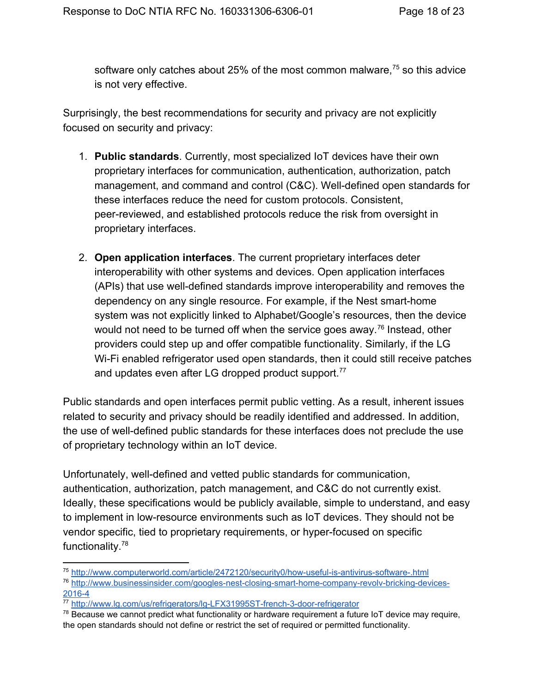software only catches about 25% of the most common malware,<sup>75</sup> so this advice is not very effective.

Surprisingly, the best recommendations for security and privacy are not explicitly focused on security and privacy:

- 1. **Public standards**. Currently, most specialized IoT devices have their own proprietary interfaces for communication, authentication, authorization, patch management, and command and control (C&C). Well-defined open standards for these interfaces reduce the need for custom protocols. Consistent, peerreviewed, and established protocols reduce the risk from oversight in proprietary interfaces.
- 2. **Open application interfaces**. The current proprietary interfaces deter interoperability with other systems and devices. Open application interfaces (APIs) that use well-defined standards improve interoperability and removes the dependency on any single resource. For example, if the Nest smart-home system was not explicitly linked to Alphabet/Google's resources, then the device would not need to be turned off when the service goes away.<sup>76</sup> Instead, other providers could step up and offer compatible functionality. Similarly, if the LG Wi-Fi enabled refrigerator used open standards, then it could still receive patches and updates even after LG dropped product support.<sup>77</sup>

Public standards and open interfaces permit public vetting. As a result, inherent issues related to security and privacy should be readily identified and addressed. In addition, the use of well-defined public standards for these interfaces does not preclude the use of proprietary technology within an IoT device.

Unfortunately, well-defined and vetted public standards for communication, authentication, authorization, patch management, and C&C do not currently exist. Ideally, these specifications would be publicly available, simple to understand, and easy to implement in lowresource environments such as IoT devices. They should not be vendor specific, tied to proprietary requirements, or hyper-focused on specific functionality.<sup>78</sup>

<sup>&</sup>lt;sup>75</sup> http://www.computerworld.com/article/2472120/security0/how-useful-is-antivirus-software-.html

<sup>&</sup>lt;sup>76</sup> http://www.businessinsider.com/googles-nest-closing-smart-home-company-revolv-bricking-devices-2016-4

<sup>77</sup> http://www.lg.com/us/refrigerators/lg-LFX31995ST-french-3-door-refrigerator

 $78$  Because we cannot predict what functionality or hardware requirement a future IoT device may require, the open standards should not define or restrict the set of required or permitted functionality.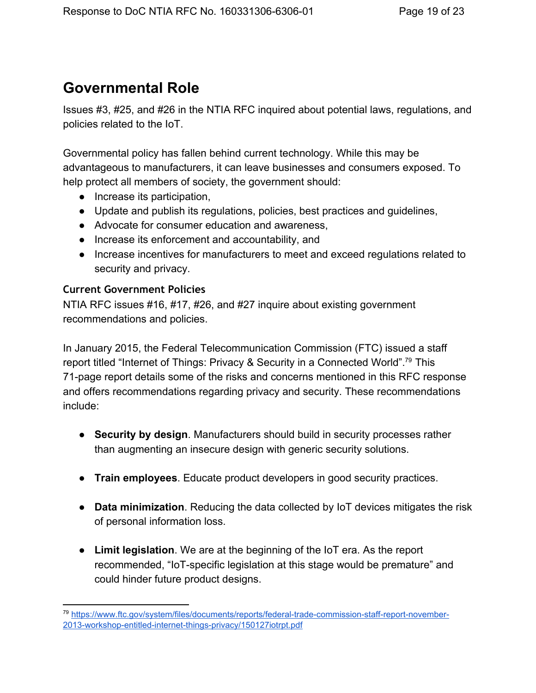## <span id="page-18-0"></span>**Governmental Role**

Issues #3, #25, and #26 in the NTIA RFC inquired about potential laws, regulations, and policies related to the IoT.

Governmental policy has fallen behind current technology. While this may be advantageous to manufacturers, it can leave businesses and consumers exposed. To help protect all members of society, the government should:

- Increase its participation,
- Update and publish its regulations, policies, best practices and guidelines,
- Advocate for consumer education and awareness,
- Increase its enforcement and accountability, and
- Increase incentives for manufacturers to meet and exceed regulations related to security and privacy.

#### <span id="page-18-1"></span>**Current Government Policies**

NTIA RFC issues #16, #17, #26, and #27 inquire about existing government recommendations and policies.

In January 2015, the Federal Telecommunication Commission (FTC) issued a staff report titled "Internet of Things: Privacy & Security in a Connected World".<sup>79</sup> This 71page report details some of the risks and concerns mentioned in this RFC response and offers recommendations regarding privacy and security. These recommendations include:

- **Security by design**. Manufacturers should build in security processes rather than augmenting an insecure design with generic security solutions.
- **Train employees**. Educate product developers in good security practices.
- **Data minimization**. Reducing the data collected by IoT devices mitigates the risk of personal information loss.
- **Limit legislation**. We are at the beginning of the IoT era. As the report recommended, "IoT-specific legislation at this stage would be premature" and could hinder future product designs.

<sup>79</sup> https://www.ftc.gov/system/files/documents/reports/federal-trade-commission-staff-report-november-2013-workshop-entitled-internet-things-privacy/150127iotrpt.pdf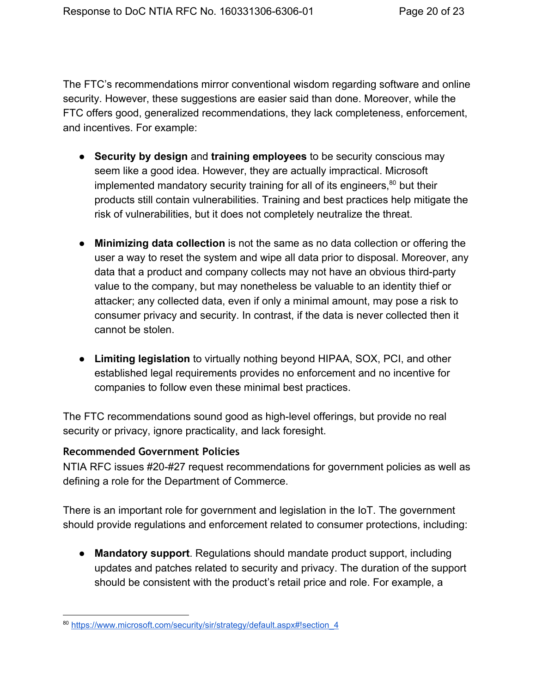The FTC's recommendations mirror conventional wisdom regarding software and online security. However, these suggestions are easier said than done. Moreover, while the FTC offers good, generalized recommendations, they lack completeness, enforcement, and incentives. For example:

- **Security by design**and **training employees**to be security conscious may seem like a good idea. However, they are actually impractical. Microsoft implemented mandatory security training for all of its engineers, $80$  but their products still contain vulnerabilities. Training and best practices help mitigate the risk of vulnerabilities, but it does not completely neutralize the threat.
- **Minimizing data collection**is not the same as no data collection or offering the user a way to reset the system and wipe all data prior to disposal. Moreover, any data that a product and company collects may not have an obvious third-party value to the company, but may nonetheless be valuable to an identity thief or attacker; any collected data, even if only a minimal amount, may pose a risk to consumer privacy and security. In contrast, if the data is never collected then it cannot be stolen.
- **Limiting legislation**to virtually nothing beyond HIPAA, SOX, PCI, and other established legal requirements provides no enforcement and no incentive for companies to follow even these minimal best practices.

The FTC recommendations sound good as high-level offerings, but provide no real security or privacy, ignore practicality, and lack foresight.

#### <span id="page-19-0"></span>**Recommended Government Policies**

NTIA RFC issues #20-#27 request recommendations for government policies as well as defining a role for the Department of Commerce.

There is an important role for government and legislation in the IoT. The government should provide regulations and enforcement related to consumer protections, including:

● **Mandatory support**. Regulations should mandate product support, including updates and patches related to security and privacy. The duration of the support should be consistent with the product's retail price and role. For example, a

<sup>80</sup> https://www.microsoft.com/security/sir/strategy/default.aspx#!section 4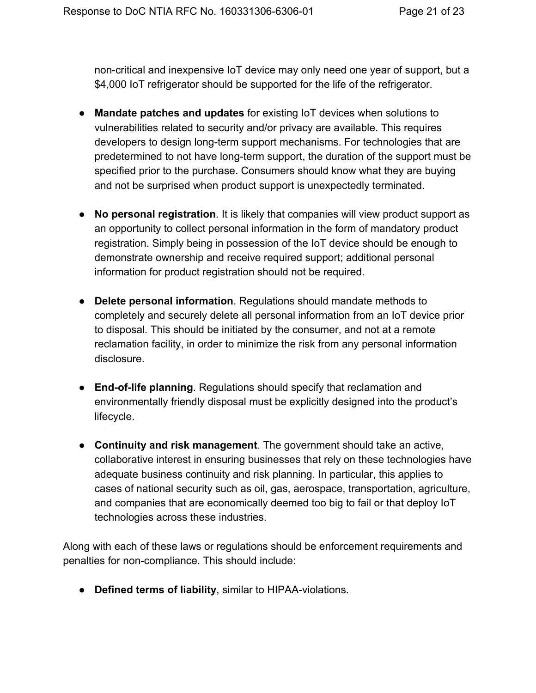non-critical and inexpensive IoT device may only need one year of support, but a \$4,000 IoT refrigerator should be supported for the life of the refrigerator.

- **Mandate patches and updates**for existing IoT devices when solutions to vulnerabilities related to security and/or privacy are available. This requires developers to design long-term support mechanisms. For technologies that are predetermined to not have long-term support, the duration of the support must be specified prior to the purchase. Consumers should know what they are buying and not be surprised when product support is unexpectedly terminated.
- **No personal registration**. It is likely that companies will view product support as an opportunity to collect personal information in the form of mandatory product registration. Simply being in possession of the IoT device should be enough to demonstrate ownership and receive required support; additional personal information for product registration should not be required.
- **Delete personal information**. Regulations should mandate methods to completely and securely delete all personal information from an IoT device prior to disposal. This should be initiated by the consumer, and not at a remote reclamation facility, in order to minimize the risk from any personal information disclosure.
- **End-of-life planning**. Regulations should specify that reclamation and environmentally friendly disposal must be explicitly designed into the product's lifecycle.
- **Continuity and risk management**. The government should take an active, collaborative interest in ensuring businesses that rely on these technologies have adequate business continuity and risk planning. In particular, this applies to cases of national security such as oil, gas, aerospace, transportation, agriculture, and companies that are economically deemed too big to fail or that deploy IoT technologies across these industries.

Along with each of these laws or regulations should be enforcement requirements and penalties for non-compliance. This should include:

**• Defined terms of liability**, similar to HIPAA-violations.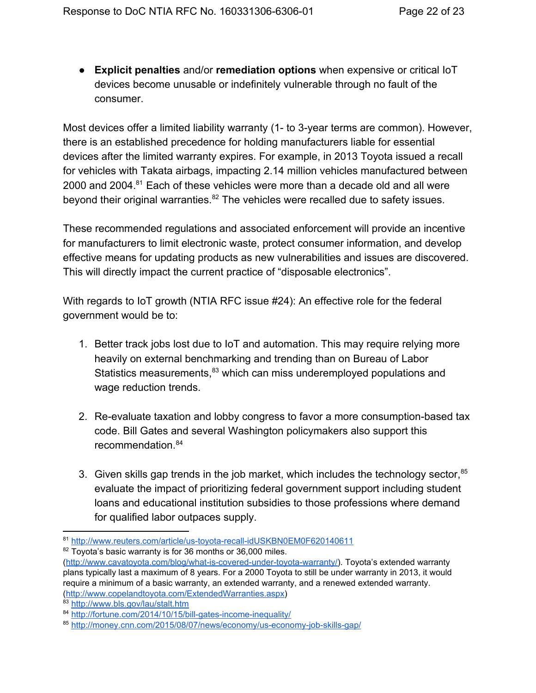● **Explicit penalties**and/or **remediation options**when expensive or critical IoT devices become unusable or indefinitely vulnerable through no fault of the consumer.

Most devices offer a limited liability warranty (1- to 3-year terms are common). However, there is an established precedence for holding manufacturers liable for essential devices after the limited warranty expires. For example, in 2013 Toyota issued a recall for vehicles with Takata airbags, impacting 2.14 million vehicles manufactured between 2000 and 2004. $81$  Each of these vehicles were more than a decade old and all were beyond their original warranties. $82$  The vehicles were recalled due to safety issues.

These recommended regulations and associated enforcement will provide an incentive for manufacturers to limit electronic waste, protect consumer information, and develop effective means for updating products as new vulnerabilities and issues are discovered. This will directly impact the current practice of "disposable electronics".

With regards to IoT growth (NTIA RFC issue #24): An effective role for the federal government would be to:

- 1. Better track jobs lost due to IoT and automation. This may require relying more heavily on external benchmarking and trending than on Bureau of Labor Statistics measurements,<sup>83</sup> which can miss underemployed populations and wage reduction trends.
- 2. Re-evaluate taxation and lobby congress to favor a more consumption-based tax code. Bill Gates and several Washington policymakers also support this recommendation. 84
- 3. Given skills gap trends in the job market, which includes the technology sector, $85$ evaluate the impact of prioritizing federal government support including student loans and educational institution subsidies to those professions where demand for qualified labor outpaces supply.

<sup>81</sup> http://www.reuters.com/article/us-toyota-recall-idUSKBN0EM0F620140611

<sup>82</sup> Toyota's basic warranty is for 36 months or 36,000 miles.

<sup>(</sup>http://www.cavatoyota.com/blog/what-is-covered-under-toyota-warranty/). Toyota's extended warranty plans typically last a maximum of 8 years. For a 2000 Toyota to still be under warranty in 2013, it would require a minimum of a basic warranty, an extended warranty, and a renewed extended warranty. [\(http://www.copelandtoyota.com/ExtendedWarranties.aspx\)](http://www.copelandtoyota.com/ExtendedWarranties.aspx)

<sup>83</sup> <http://www.bls.gov/lau/stalt.htm>

<sup>84</sup> http://fortune.com/2014/10/15/bill-gates-income-inequality/

<sup>85</sup> http://money.cnn.com/2015/08/07/news/economy/us-economy-job-skills-gap/